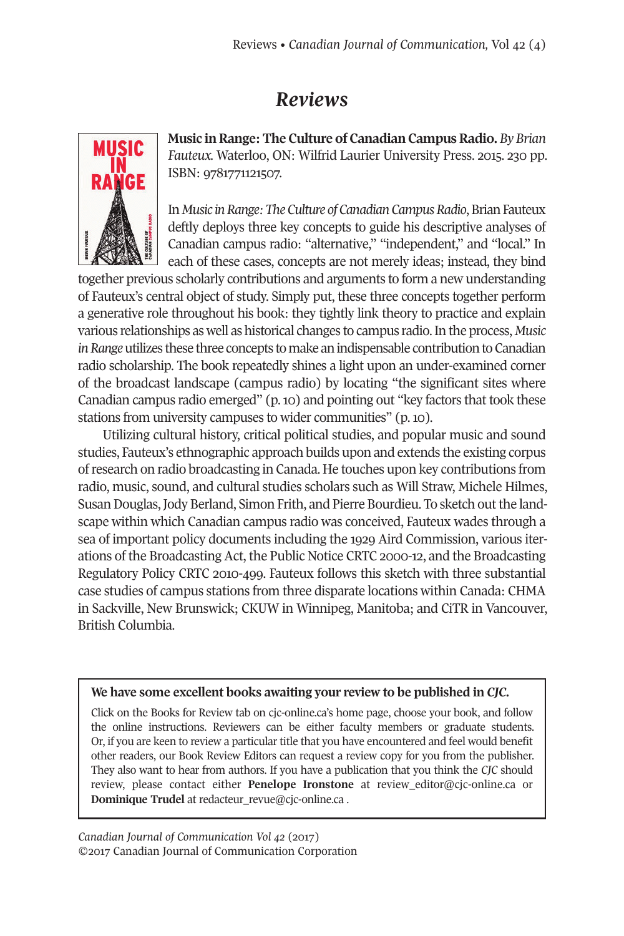## *Reviews*



**Music inRange:The Culture of Canadian CampusRadio.** *By Brian Fauteux.* Waterloo, ON: Wilfrid Laurier University Press. 2015. 230 pp. ISBN: 9781771121507.

In*Music inRange:TheCulture ofCanadianCampusRadio*,BrianFauteux deftly deploys three key concepts to guide his descriptive analyses of Canadian campus radio: "alternative," "independent," and "local." In each of these cases, concepts are not merely ideas; instead, they bind

together previous scholarly contributions and arguments to form a new understanding of Fauteux's central object of study. Simply put, these three concepts together perform a generative role throughout his book: they tightly link theory to practice and explain various relationships as well as historical changes to campus radio.In the process, *Music* in Range utilizes these three concepts to make an indispensable contribution to Canadian radio scholarship. The book repeatedly shines a light upon an under-examined corner of the broadcast landscape (campus radio) by locating "the significant sites where Canadian campus radio emerged" (p.10) and pointing out "key factors that took these stations from university campuses to wider communities" (p.10).

Utilizing cultural history, critical political studies, and popular music and sound studies, Fauteux's ethnographic approach builds upon and extends the existing corpus ofresearch on radio broadcasting in Canada. He touches upon key contributions from radio, music, sound, and cultural studies scholars such as Will Straw, Michele Hilmes, Susan Douglas, Jody Berland, Simon Frith, and Pierre Bourdieu. To sketch out the landscape within which Canadian campus radio was conceived, Fauteux wades through a sea of important policy documents including the 1929 Aird Commission, various iterations of the Broadcasting Act, the Public Notice CRTC 2000-12, and the Broadcasting Regulatory Policy CRTC 2010-499. Fauteux follows this sketch with three substantial case studies of campus stations from three disparate locations within Canada: CHMA in Sackville, New Brunswick; CKUW in Winnipeg, Manitoba; and CiTR in Vancouver, British Columbia.

## **We have some excellent books awaiting your review to be published in** *CJC.*

Click on the Books for Review tab on cjc-online.ca's home page, choose your book, and follow the online instructions. Reviewers can be either faculty members or graduate students. Or, if you are keen to review a particular title that you have encountered and feel would benefit other readers, our Book Review Editors can request a review copy for you from the publisher. They also want to hear from authors. If you have a publication that you think the *CJC* should review, please contact either **Penelope Ironstone** at [review\\_editor@cjc-online.ca](mailto:review_editor@cjc-online.ca) or **Dominique Trudel** at [redacteur\\_revue@cjc-online.ca](mailto:redacteur_revue@cjc-online.ca) .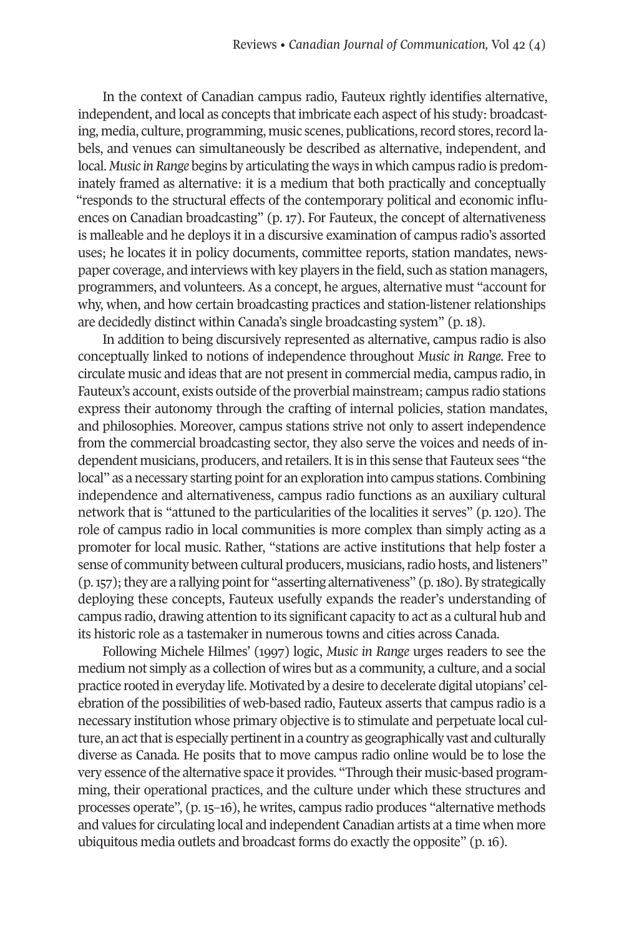In the context of Canadian campus radio, Fauteux rightly identifies alternative, independent, and local as concepts that imbricate each aspect of his study: broadcasting, media, culture, programming, music scenes, publications, record stores, record labels, and venues can simultaneously be described as alternative, independent, and local. *Music in Range* begins by articulating the ways in which campus radio is predominately framed as alternative: it is a medium that both practically and conceptually "responds to the structural effects of the contemporary political and economic influences on Canadian broadcasting" (p. 17). For Fauteux, the concept of alternativeness is malleable and he deploys it in a discursive examination of campus radio's assorted uses; he locates it in policy documents, committee reports, station mandates, newspaper coverage, and interviews with key players in the field, such as station managers, programmers, and volunteers. As a concept, he argues, alternative must "account for why, when, and how certain broadcasting practices and station-listener relationships are decidedly distinct within Canada's single broadcasting system" (p. 18).

In addition to being discursively represented as alternative, campus radio is also conceptually linked to notions of independence throughout *Music in Range*. Free to circulate music and ideas that are not present in commercial media, campus radio, in Fauteux's account, exists outside of the proverbial mainstream; campus radio stations express their autonomy through the crafting of internal policies, station mandates, and philosophies. Moreover, campus stations strive not only to assert independence from the commercial broadcasting sector, they also serve the voices and needs of independent musicians, producers, and retailers. It is in this sense that Fauteux sees "the local" as a necessary starting point for an exploration into campus stations. Combining independence and alternativeness, campus radio functions as an auxiliary cultural network that is "attuned to the particularities of the localities it serves" (p. 120). The role of campus radio in local communities is more complex than simply acting as a promoter for local music. Rather, "stations are active institutions that help foster a sense of community between cultural producers, musicians,radio hosts, and listeners"  $(p.157)$ ; they are a rallying point for "asserting alternativeness"  $(p.180)$ . By strategically deploying these concepts, Fauteux usefully expands the reader's understanding of campus radio, drawing attention to its significant capacity to act as a cultural hub and its historic role as a tastemaker in numerous towns and cities across Canada.

Following Michele Hilmes' (1997) logic, *Music in Range* urges readers to see the medium not simply as a collection of wires but as a community, a culture, and a social practice rooted in everyday life. Motivated by a desire to decelerate digital utopians' celebration of the possibilities of web-based radio, Fauteux asserts that campus radio is a necessary institution whose primary objective is to stimulate and perpetuate local culture, an act that is especially pertinent in a country as geographically vast and culturally diverse as Canada. He posits that to move campus radio online would be to lose the very essence of the alternative space it provides. "Through their music-based programming, their operational practices, and the culture under which these structures and processes operate", (p. 15–16), he writes, campus radio produces "alternative methods and values for circulating local and independent Canadian artists at a time when more ubiquitous media outlets and broadcast forms do exactly the opposite" (p. 16).